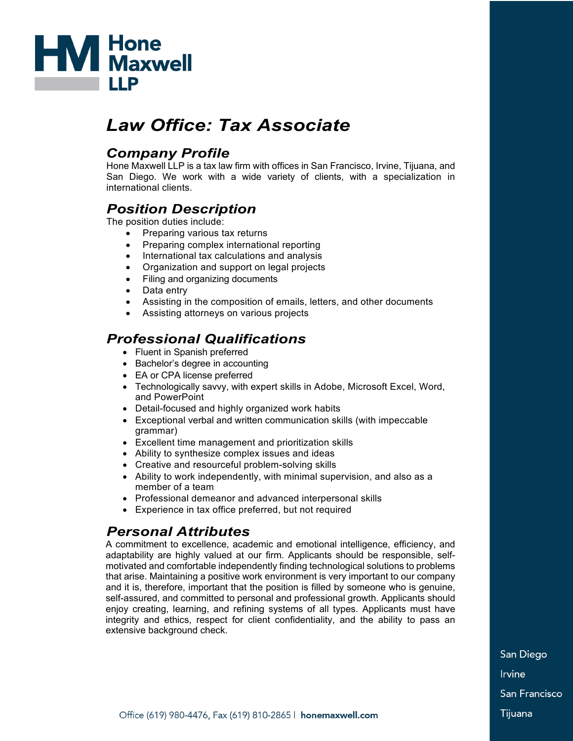

# *Law Office: Tax Associate*

### *Company Profile*

Hone Maxwell LLP is a tax law firm with offices in San Francisco, Irvine, Tijuana, and San Diego. We work with a wide variety of clients, with a specialization in international clients.

## *Position Description*

The position duties include:

- Preparing various tax returns
- Preparing complex international reporting
- International tax calculations and analysis
- Organization and support on legal projects
- Filing and organizing documents
- Data entry
- Assisting in the composition of emails, letters, and other documents
- Assisting attorneys on various projects

#### *Professional Qualifications*

- Fluent in Spanish preferred
- Bachelor's degree in accounting
- EA or CPA license preferred
- Technologically savvy, with expert skills in Adobe, Microsoft Excel, Word, and PowerPoint
- Detail-focused and highly organized work habits
- Exceptional verbal and written communication skills (with impeccable grammar)
- Excellent time management and prioritization skills
- Ability to synthesize complex issues and ideas
- Creative and resourceful problem-solving skills
- Ability to work independently, with minimal supervision, and also as a member of a team
- Professional demeanor and advanced interpersonal skills
- Experience in tax office preferred, but not required

### *Personal Attributes*

A commitment to excellence, academic and emotional intelligence, efficiency, and adaptability are highly valued at our firm. Applicants should be responsible, selfmotivated and comfortable independently finding technological solutions to problems that arise. Maintaining a positive work environment is very important to our company and it is, therefore, important that the position is filled by someone who is genuine, self-assured, and committed to personal and professional growth. Applicants should enjoy creating, learning, and refining systems of all types. Applicants must have integrity and ethics, respect for client confidentiality, and the ability to pass an extensive background check.

> San Diego **Irvine** San Francisco Tijuana